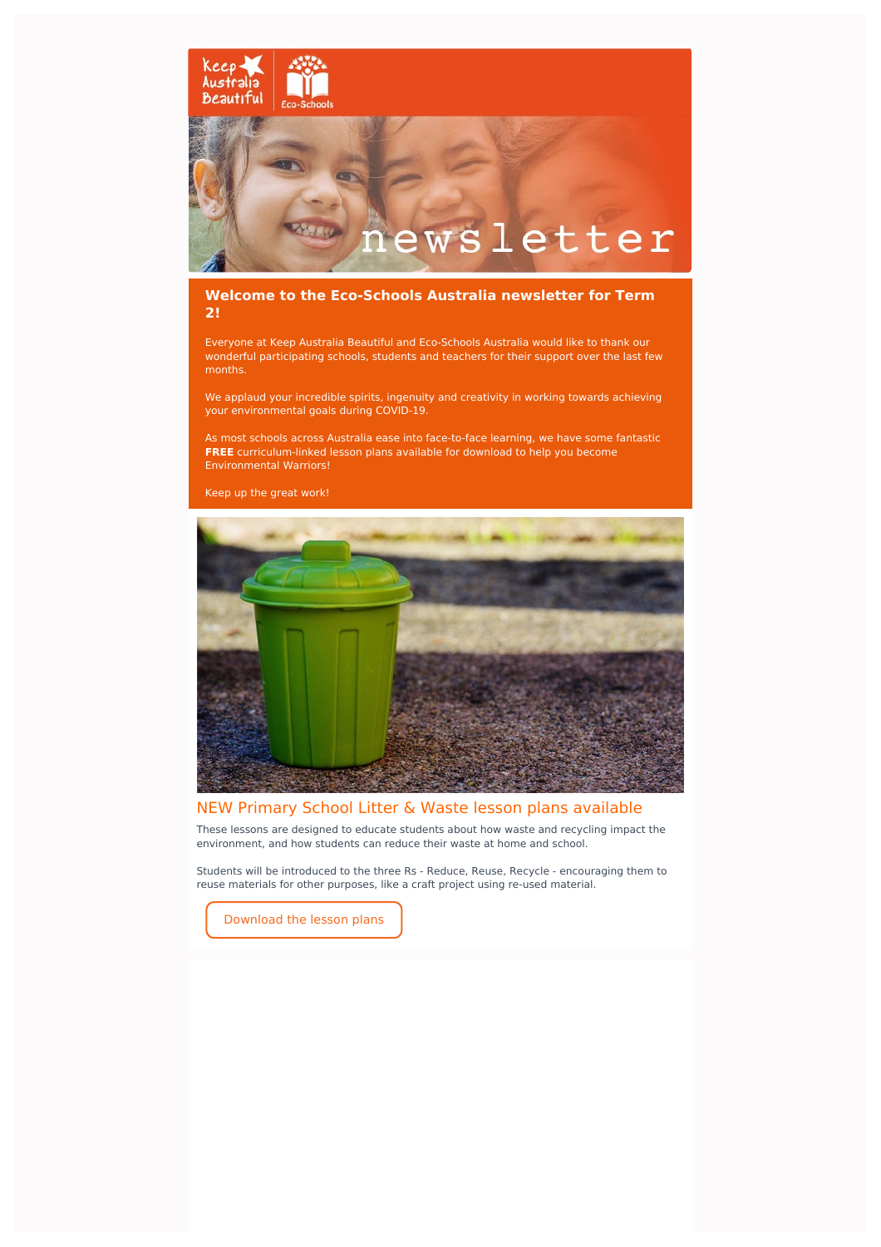

### **Welcome to the Eco-Schools Australia newsletter for Term 2!**

Everyone at Keep Australia Beautiful and Eco-Schools Australia would like to thank our wonderful participating schools, students and teachers for their support over the last few months.

We applaud your incredible spirits, ingenuity and creativity in working towards achieving your environmental goals during COVID-19.

As most schools across Australia ease into face-to-face learning, we have some fantastic **FREE** curriculum-linked lesson plans available for download to help you become Environmental Warriors!

Keep up the great work!



# NEW Primary School Litter & Waste lesson plans available

These lessons are designed to educate students about how waste and recycling impact the environment, and how students can reduce their waste at home and school.

Students will be introduced to the three Rs - Reduce, Reuse, Recycle - encouraging them to reuse materials for other purposes, like a craft project using re-used material.

[Download](https://www.eco-schools.org.au/teacher-resources-2) the lesson plans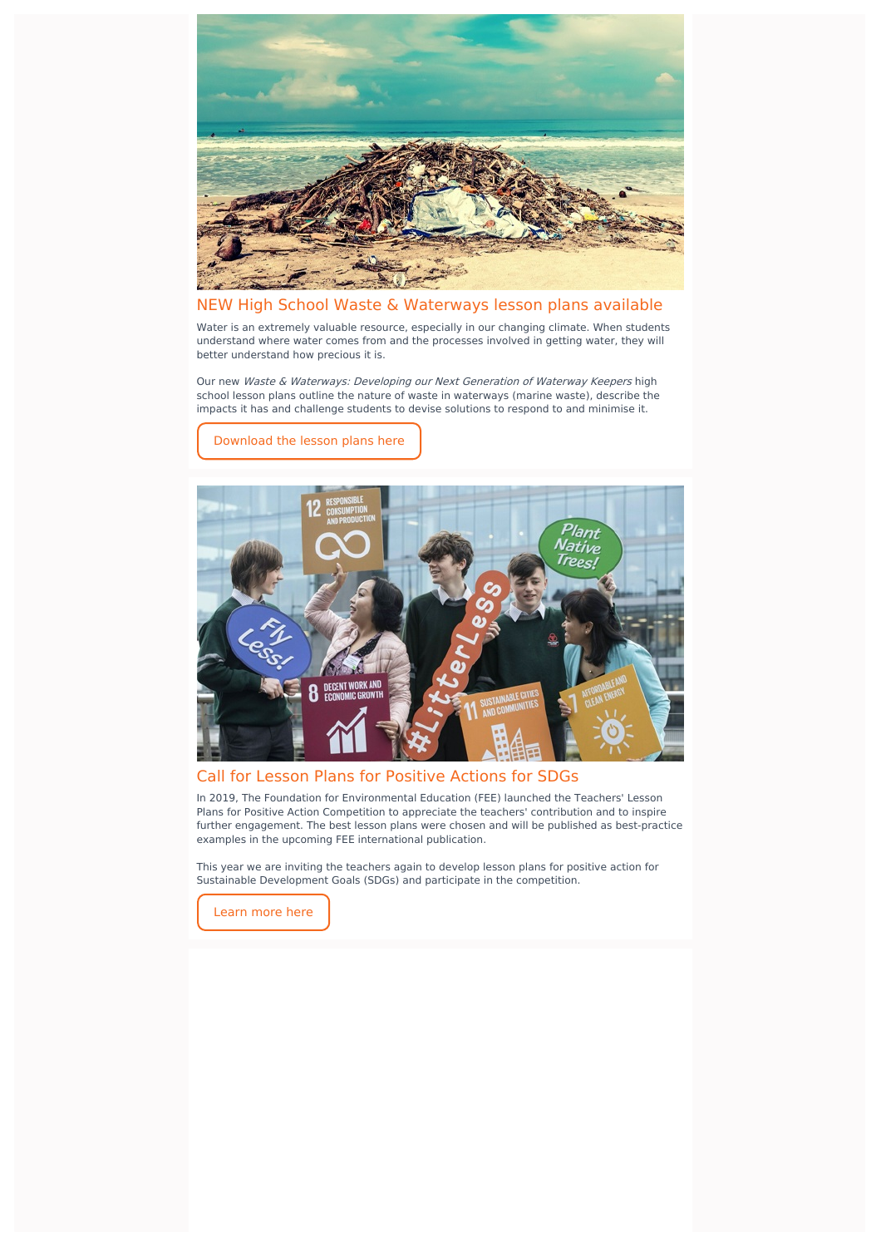

# NEW High School Waste & Waterways lesson plans available

Water is an extremely valuable resource, especially in our changing climate. When students understand where water comes from and the processes involved in getting water, they will better understand how precious it is.

Our new Waste & Waterways: Developing our Next Generation of Waterway Keepers high school lesson plans outline the nature of waste in waterways (marine waste), describe the impacts it has and challenge students to devise solutions to respond to and minimise it.



[Download](https://www.eco-schools.org.au/teacher-resources-2) the lesson plans here

#### Call for Lesson Plans for Positive Actions for SDGs

In 2019, The Foundation for Environmental Education (FEE) launched the Teachers' Lesson Plans for Positive Action Competition to appreciate the teachers' contribution and to inspire further engagement. The best lesson plans were chosen and will be published as best-practice examples in the upcoming FEE international publication.

This year we are inviting the teachers again to develop lesson plans for positive action for Sustainable Development Goals (SDGs) and participate in the competition.

[Learn](https://www.ecoschools.global/sdgslessonplans2020) more here